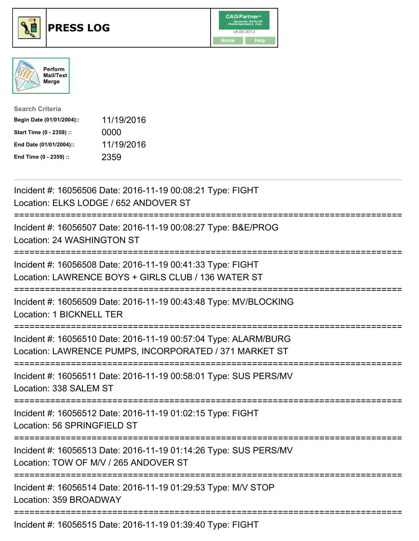





| <b>Search Criteria</b>    |            |
|---------------------------|------------|
| Begin Date (01/01/2004):: | 11/19/2016 |
| Start Time (0 - 2359) ::  | 0000       |
| End Date (01/01/2004)::   | 11/19/2016 |
| End Time (0 - 2359) ::    | 2359       |

| Incident #: 16056506 Date: 2016-11-19 00:08:21 Type: FIGHT<br>Location: ELKS LODGE / 652 ANDOVER ST                                    |
|----------------------------------------------------------------------------------------------------------------------------------------|
| Incident #: 16056507 Date: 2016-11-19 00:08:27 Type: B&E/PROG<br>Location: 24 WASHINGTON ST                                            |
| Incident #: 16056508 Date: 2016-11-19 00:41:33 Type: FIGHT<br>Location: LAWRENCE BOYS + GIRLS CLUB / 136 WATER ST                      |
| Incident #: 16056509 Date: 2016-11-19 00:43:48 Type: MV/BLOCKING<br>Location: 1 BICKNELL TER                                           |
| Incident #: 16056510 Date: 2016-11-19 00:57:04 Type: ALARM/BURG<br>Location: LAWRENCE PUMPS, INCORPORATED / 371 MARKET ST              |
| Incident #: 16056511 Date: 2016-11-19 00:58:01 Type: SUS PERS/MV<br>Location: 338 SALEM ST<br>=================                        |
| Incident #: 16056512 Date: 2016-11-19 01:02:15 Type: FIGHT<br>Location: 56 SPRINGFIELD ST<br>-----------                               |
| Incident #: 16056513 Date: 2016-11-19 01:14:26 Type: SUS PERS/MV<br>Location: TOW OF M/V / 265 ANDOVER ST<br>------------------------- |
| Incident #: 16056514 Date: 2016-11-19 01:29:53 Type: M/V STOP<br>Location: 359 BROADWAY                                                |
| Incident #: 16056515 Date: 2016-11-19 01:39:40 Type: FIGHT                                                                             |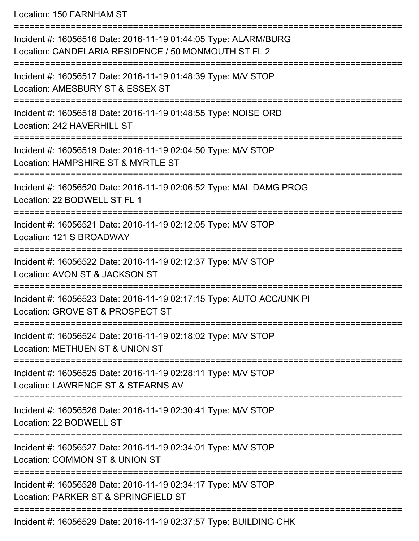Location: 150 FARNHAM ST

| Incident #: 16056516 Date: 2016-11-19 01:44:05 Type: ALARM/BURG<br>Location: CANDELARIA RESIDENCE / 50 MONMOUTH ST FL 2 |
|-------------------------------------------------------------------------------------------------------------------------|
| Incident #: 16056517 Date: 2016-11-19 01:48:39 Type: M/V STOP<br>Location: AMESBURY ST & ESSEX ST                       |
| Incident #: 16056518 Date: 2016-11-19 01:48:55 Type: NOISE ORD<br>Location: 242 HAVERHILL ST                            |
| Incident #: 16056519 Date: 2016-11-19 02:04:50 Type: M/V STOP<br>Location: HAMPSHIRE ST & MYRTLE ST                     |
| Incident #: 16056520 Date: 2016-11-19 02:06:52 Type: MAL DAMG PROG<br>Location: 22 BODWELL ST FL 1                      |
| Incident #: 16056521 Date: 2016-11-19 02:12:05 Type: M/V STOP<br>Location: 121 S BROADWAY                               |
| Incident #: 16056522 Date: 2016-11-19 02:12:37 Type: M/V STOP<br>Location: AVON ST & JACKSON ST                         |
| Incident #: 16056523 Date: 2016-11-19 02:17:15 Type: AUTO ACC/UNK PI<br>Location: GROVE ST & PROSPECT ST                |
| Incident #: 16056524 Date: 2016-11-19 02:18:02 Type: M/V STOP<br>Location: METHUEN ST & UNION ST                        |
| Incident #: 16056525 Date: 2016-11-19 02:28:11 Type: M/V STOP<br>Location: LAWRENCE ST & STEARNS AV                     |
| Incident #: 16056526 Date: 2016-11-19 02:30:41 Type: M/V STOP<br>Location: 22 BODWELL ST                                |
| Incident #: 16056527 Date: 2016-11-19 02:34:01 Type: M/V STOP<br>Location: COMMON ST & UNION ST                         |
| Incident #: 16056528 Date: 2016-11-19 02:34:17 Type: M/V STOP<br>Location: PARKER ST & SPRINGFIELD ST                   |
| Incident #: 16056529 Date: 2016-11-19 02:37:57 Type: BUILDING CHK                                                       |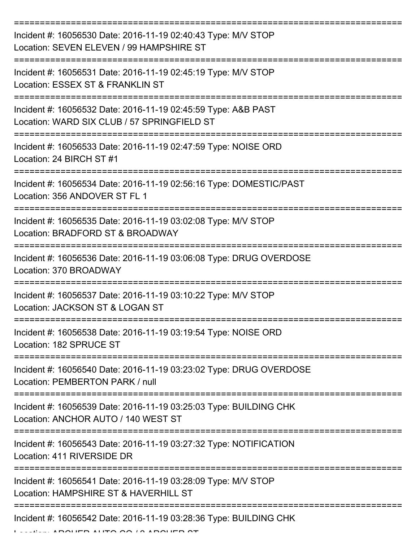| Incident #: 16056530 Date: 2016-11-19 02:40:43 Type: M/V STOP<br>Location: SEVEN ELEVEN / 99 HAMPSHIRE ST    |
|--------------------------------------------------------------------------------------------------------------|
| Incident #: 16056531 Date: 2016-11-19 02:45:19 Type: M/V STOP<br>Location: ESSEX ST & FRANKLIN ST            |
| Incident #: 16056532 Date: 2016-11-19 02:45:59 Type: A&B PAST<br>Location: WARD SIX CLUB / 57 SPRINGFIELD ST |
| Incident #: 16056533 Date: 2016-11-19 02:47:59 Type: NOISE ORD<br>Location: 24 BIRCH ST #1                   |
| Incident #: 16056534 Date: 2016-11-19 02:56:16 Type: DOMESTIC/PAST<br>Location: 356 ANDOVER ST FL 1          |
| Incident #: 16056535 Date: 2016-11-19 03:02:08 Type: M/V STOP<br>Location: BRADFORD ST & BROADWAY            |
| Incident #: 16056536 Date: 2016-11-19 03:06:08 Type: DRUG OVERDOSE<br>Location: 370 BROADWAY                 |
| Incident #: 16056537 Date: 2016-11-19 03:10:22 Type: M/V STOP<br>Location: JACKSON ST & LOGAN ST             |
| Incident #: 16056538 Date: 2016-11-19 03:19:54 Type: NOISE ORD<br>Location: 182 SPRUCE ST                    |
| Incident #: 16056540 Date: 2016-11-19 03:23:02 Type: DRUG OVERDOSE<br>Location: PEMBERTON PARK / null        |
| Incident #: 16056539 Date: 2016-11-19 03:25:03 Type: BUILDING CHK<br>Location: ANCHOR AUTO / 140 WEST ST     |
| Incident #: 16056543 Date: 2016-11-19 03:27:32 Type: NOTIFICATION<br>Location: 411 RIVERSIDE DR              |
| Incident #: 16056541 Date: 2016-11-19 03:28:09 Type: M/V STOP<br>Location: HAMPSHIRE ST & HAVERHILL ST       |
| Incident #: 16056542 Date: 2016-11-19 03:28:36 Type: BUILDING CHK                                            |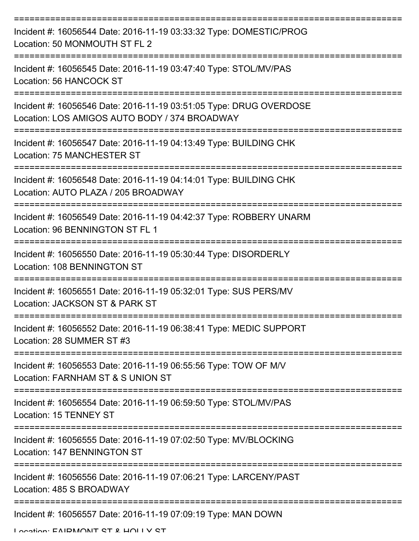| Incident #: 16056544 Date: 2016-11-19 03:33:32 Type: DOMESTIC/PROG<br>Location: 50 MONMOUTH ST FL 2                 |
|---------------------------------------------------------------------------------------------------------------------|
| Incident #: 16056545 Date: 2016-11-19 03:47:40 Type: STOL/MV/PAS<br>Location: 56 HANCOCK ST                         |
| Incident #: 16056546 Date: 2016-11-19 03:51:05 Type: DRUG OVERDOSE<br>Location: LOS AMIGOS AUTO BODY / 374 BROADWAY |
| Incident #: 16056547 Date: 2016-11-19 04:13:49 Type: BUILDING CHK<br>Location: 75 MANCHESTER ST                     |
| Incident #: 16056548 Date: 2016-11-19 04:14:01 Type: BUILDING CHK<br>Location: AUTO PLAZA / 205 BROADWAY            |
| Incident #: 16056549 Date: 2016-11-19 04:42:37 Type: ROBBERY UNARM<br>Location: 96 BENNINGTON ST FL 1               |
| Incident #: 16056550 Date: 2016-11-19 05:30:44 Type: DISORDERLY<br>Location: 108 BENNINGTON ST                      |
| Incident #: 16056551 Date: 2016-11-19 05:32:01 Type: SUS PERS/MV<br>Location: JACKSON ST & PARK ST                  |
| Incident #: 16056552 Date: 2016-11-19 06:38:41 Type: MEDIC SUPPORT<br>Location: 28 SUMMER ST #3                     |
| Incident #: 16056553 Date: 2016-11-19 06:55:56 Type: TOW OF M/V<br>Location: FARNHAM ST & S UNION ST                |
| Incident #: 16056554 Date: 2016-11-19 06:59:50 Type: STOL/MV/PAS<br><b>Location: 15 TENNEY ST</b>                   |
| Incident #: 16056555 Date: 2016-11-19 07:02:50 Type: MV/BLOCKING<br>Location: 147 BENNINGTON ST                     |
| Incident #: 16056556 Date: 2016-11-19 07:06:21 Type: LARCENY/PAST<br>Location: 485 S BROADWAY                       |
| Incident #: 16056557 Date: 2016-11-19 07:09:19 Type: MAN DOWN                                                       |

Location: EAIDMONIT CT & HOLLY CT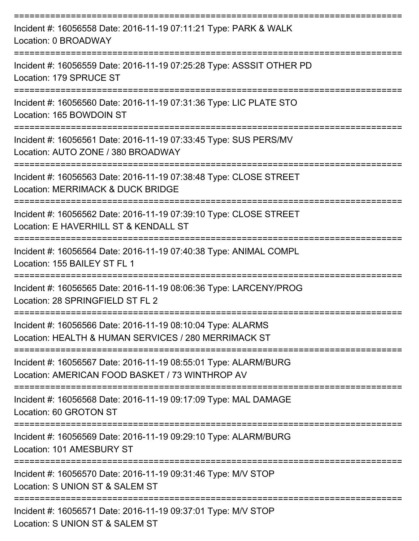| Incident #: 16056558 Date: 2016-11-19 07:11:21 Type: PARK & WALK<br>Location: 0 BROADWAY<br>------------            |
|---------------------------------------------------------------------------------------------------------------------|
| Incident #: 16056559 Date: 2016-11-19 07:25:28 Type: ASSSIT OTHER PD<br>Location: 179 SPRUCE ST                     |
| Incident #: 16056560 Date: 2016-11-19 07:31:36 Type: LIC PLATE STO<br>Location: 165 BOWDOIN ST                      |
| Incident #: 16056561 Date: 2016-11-19 07:33:45 Type: SUS PERS/MV<br>Location: AUTO ZONE / 380 BROADWAY              |
| Incident #: 16056563 Date: 2016-11-19 07:38:48 Type: CLOSE STREET<br>Location: MERRIMACK & DUCK BRIDGE              |
| Incident #: 16056562 Date: 2016-11-19 07:39:10 Type: CLOSE STREET<br>Location: E HAVERHILL ST & KENDALL ST          |
| Incident #: 16056564 Date: 2016-11-19 07:40:38 Type: ANIMAL COMPL<br>Location: 155 BAILEY ST FL 1                   |
| Incident #: 16056565 Date: 2016-11-19 08:06:36 Type: LARCENY/PROG<br>Location: 28 SPRINGFIELD ST FL 2               |
| Incident #: 16056566 Date: 2016-11-19 08:10:04 Type: ALARMS<br>Location: HEALTH & HUMAN SERVICES / 280 MERRIMACK ST |
| Incident #: 16056567 Date: 2016-11-19 08:55:01 Type: ALARM/BURG<br>Location: AMERICAN FOOD BASKET / 73 WINTHROP AV  |
| Incident #: 16056568 Date: 2016-11-19 09:17:09 Type: MAL DAMAGE<br>Location: 60 GROTON ST                           |
| Incident #: 16056569 Date: 2016-11-19 09:29:10 Type: ALARM/BURG<br>Location: 101 AMESBURY ST                        |
| Incident #: 16056570 Date: 2016-11-19 09:31:46 Type: M/V STOP<br>Location: S UNION ST & SALEM ST                    |
| Incident #: 16056571 Date: 2016-11-19 09:37:01 Type: M/V STOP<br>Location: S UNION ST & SALEM ST                    |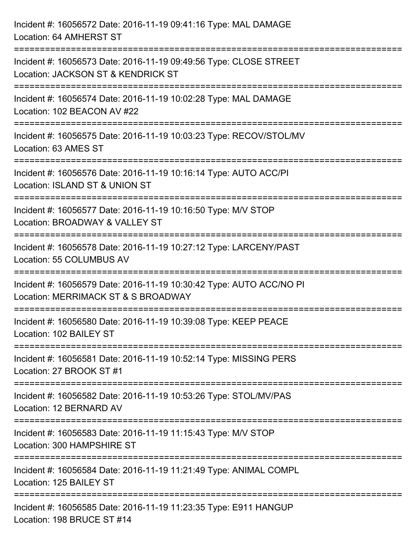| Incident #: 16056572 Date: 2016-11-19 09:41:16 Type: MAL DAMAGE<br>Location: 64 AMHERST ST                                                   |
|----------------------------------------------------------------------------------------------------------------------------------------------|
| =============================<br>Incident #: 16056573 Date: 2016-11-19 09:49:56 Type: CLOSE STREET<br>Location: JACKSON ST & KENDRICK ST     |
| Incident #: 16056574 Date: 2016-11-19 10:02:28 Type: MAL DAMAGE<br>Location: 102 BEACON AV #22<br>:===============================           |
| Incident #: 16056575 Date: 2016-11-19 10:03:23 Type: RECOV/STOL/MV<br>Location: 63 AMES ST                                                   |
| Incident #: 16056576 Date: 2016-11-19 10:16:14 Type: AUTO ACC/PI<br>Location: ISLAND ST & UNION ST<br>====================================== |
| Incident #: 16056577 Date: 2016-11-19 10:16:50 Type: M/V STOP<br>Location: BROADWAY & VALLEY ST                                              |
| Incident #: 16056578 Date: 2016-11-19 10:27:12 Type: LARCENY/PAST<br>Location: 55 COLUMBUS AV                                                |
| Incident #: 16056579 Date: 2016-11-19 10:30:42 Type: AUTO ACC/NO PI<br>Location: MERRIMACK ST & S BROADWAY                                   |
| Incident #: 16056580 Date: 2016-11-19 10:39:08 Type: KEEP PEACE<br>Location: 102 BAILEY ST                                                   |
| Incident #: 16056581 Date: 2016-11-19 10:52:14 Type: MISSING PERS<br>Location: 27 BROOK ST #1                                                |
| Incident #: 16056582 Date: 2016-11-19 10:53:26 Type: STOL/MV/PAS<br>Location: 12 BERNARD AV                                                  |
| Incident #: 16056583 Date: 2016-11-19 11:15:43 Type: M/V STOP<br>Location: 300 HAMPSHIRE ST                                                  |
| Incident #: 16056584 Date: 2016-11-19 11:21:49 Type: ANIMAL COMPL<br>Location: 125 BAILEY ST                                                 |
| Incident #: 16056585 Date: 2016-11-19 11:23:35 Type: E911 HANGUP<br>Location: 198 BRUCE ST #14                                               |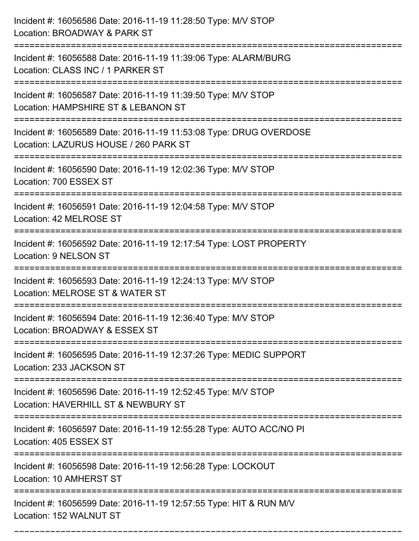| Incident #: 16056586 Date: 2016-11-19 11:28:50 Type: M/V STOP<br>Location: BROADWAY & PARK ST                                   |
|---------------------------------------------------------------------------------------------------------------------------------|
| Incident #: 16056588 Date: 2016-11-19 11:39:06 Type: ALARM/BURG<br>Location: CLASS INC / 1 PARKER ST                            |
| Incident #: 16056587 Date: 2016-11-19 11:39:50 Type: M/V STOP<br>Location: HAMPSHIRE ST & LEBANON ST<br>======================= |
| Incident #: 16056589 Date: 2016-11-19 11:53:08 Type: DRUG OVERDOSE<br>Location: LAZURUS HOUSE / 260 PARK ST                     |
| Incident #: 16056590 Date: 2016-11-19 12:02:36 Type: M/V STOP<br>Location: 700 ESSEX ST                                         |
| Incident #: 16056591 Date: 2016-11-19 12:04:58 Type: M/V STOP<br>Location: 42 MELROSE ST                                        |
| Incident #: 16056592 Date: 2016-11-19 12:17:54 Type: LOST PROPERTY<br>Location: 9 NELSON ST                                     |
| Incident #: 16056593 Date: 2016-11-19 12:24:13 Type: M/V STOP<br>Location: MELROSE ST & WATER ST                                |
| Incident #: 16056594 Date: 2016-11-19 12:36:40 Type: M/V STOP<br>Location: BROADWAY & ESSEX ST                                  |
| Incident #: 16056595 Date: 2016-11-19 12:37:26 Type: MEDIC SUPPORT<br>Location: 233 JACKSON ST                                  |
| Incident #: 16056596 Date: 2016-11-19 12:52:45 Type: M/V STOP<br>Location: HAVERHILL ST & NEWBURY ST                            |
| Incident #: 16056597 Date: 2016-11-19 12:55:28 Type: AUTO ACC/NO PI<br>Location: 405 ESSEX ST<br>==========================     |
| Incident #: 16056598 Date: 2016-11-19 12:56:28 Type: LOCKOUT<br>Location: 10 AMHERST ST                                         |
| Incident #: 16056599 Date: 2016-11-19 12:57:55 Type: HIT & RUN M/V<br>Location: 152 WALNUT ST                                   |

===========================================================================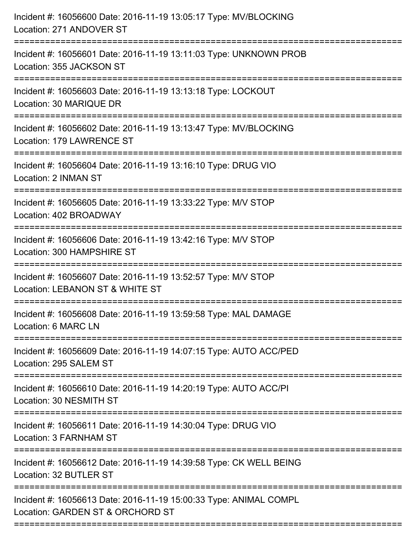| Location: 271 ANDOVER ST                                                                              |
|-------------------------------------------------------------------------------------------------------|
| Incident #: 16056601 Date: 2016-11-19 13:11:03 Type: UNKNOWN PROB<br>Location: 355 JACKSON ST         |
| Incident #: 16056603 Date: 2016-11-19 13:13:18 Type: LOCKOUT<br>Location: 30 MARIQUE DR               |
| Incident #: 16056602 Date: 2016-11-19 13:13:47 Type: MV/BLOCKING<br>Location: 179 LAWRENCE ST         |
| Incident #: 16056604 Date: 2016-11-19 13:16:10 Type: DRUG VIO<br>Location: 2 INMAN ST                 |
| Incident #: 16056605 Date: 2016-11-19 13:33:22 Type: M/V STOP<br>Location: 402 BROADWAY               |
| Incident #: 16056606 Date: 2016-11-19 13:42:16 Type: M/V STOP<br>Location: 300 HAMPSHIRE ST           |
| Incident #: 16056607 Date: 2016-11-19 13:52:57 Type: M/V STOP<br>Location: LEBANON ST & WHITE ST      |
| Incident #: 16056608 Date: 2016-11-19 13:59:58 Type: MAL DAMAGE<br>Location: 6 MARC LN                |
| Incident #: 16056609 Date: 2016-11-19 14:07:15 Type: AUTO ACC/PED<br>Location: 295 SALEM ST           |
| Incident #: 16056610 Date: 2016-11-19 14:20:19 Type: AUTO ACC/PI<br>Location: 30 NESMITH ST           |
| Incident #: 16056611 Date: 2016-11-19 14:30:04 Type: DRUG VIO<br>Location: 3 FARNHAM ST               |
| Incident #: 16056612 Date: 2016-11-19 14:39:58 Type: CK WELL BEING<br>Location: 32 BUTLER ST          |
| Incident #: 16056613 Date: 2016-11-19 15:00:33 Type: ANIMAL COMPL<br>Location: GARDEN ST & ORCHORD ST |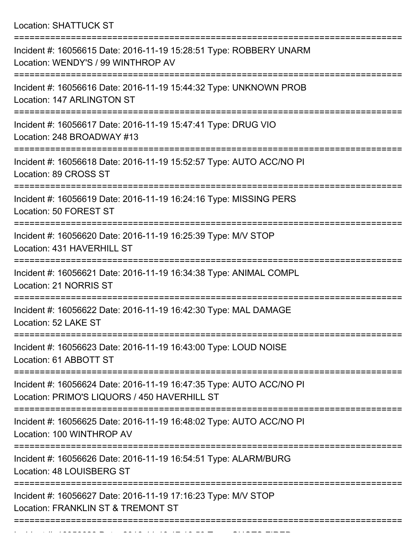Location: SHATTUCK ST

| Incident #: 16056615 Date: 2016-11-19 15:28:51 Type: ROBBERY UNARM<br>Location: WENDY'S / 99 WINTHROP AV            |
|---------------------------------------------------------------------------------------------------------------------|
| Incident #: 16056616 Date: 2016-11-19 15:44:32 Type: UNKNOWN PROB<br>Location: 147 ARLINGTON ST                     |
| Incident #: 16056617 Date: 2016-11-19 15:47:41 Type: DRUG VIO<br>Location: 248 BROADWAY #13                         |
| Incident #: 16056618 Date: 2016-11-19 15:52:57 Type: AUTO ACC/NO PI<br>Location: 89 CROSS ST                        |
| Incident #: 16056619 Date: 2016-11-19 16:24:16 Type: MISSING PERS<br>Location: 50 FOREST ST                         |
| Incident #: 16056620 Date: 2016-11-19 16:25:39 Type: M/V STOP<br>Location: 431 HAVERHILL ST                         |
| Incident #: 16056621 Date: 2016-11-19 16:34:38 Type: ANIMAL COMPL<br>Location: 21 NORRIS ST                         |
| Incident #: 16056622 Date: 2016-11-19 16:42:30 Type: MAL DAMAGE<br>Location: 52 LAKE ST                             |
| Incident #: 16056623 Date: 2016-11-19 16:43:00 Type: LOUD NOISE<br>Location: 61 ABBOTT ST                           |
| Incident #: 16056624 Date: 2016-11-19 16:47:35 Type: AUTO ACC/NO PI<br>Location: PRIMO'S LIQUORS / 450 HAVERHILL ST |
| Incident #: 16056625 Date: 2016-11-19 16:48:02 Type: AUTO ACC/NO PI<br>Location: 100 WINTHROP AV                    |
| Incident #: 16056626 Date: 2016-11-19 16:54:51 Type: ALARM/BURG<br>Location: 48 LOUISBERG ST                        |
| Incident #: 16056627 Date: 2016-11-19 17:16:23 Type: M/V STOP<br>Location: FRANKLIN ST & TREMONT ST                 |
|                                                                                                                     |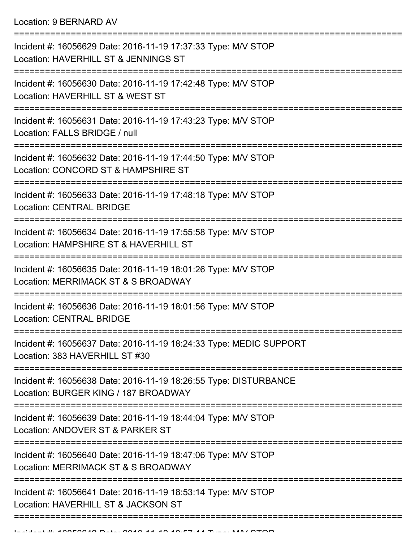Location: 9 BERNARD AV

=========================================================================== Incident #: 16056629 Date: 2016-11-19 17:37:33 Type: M/V STOP Location: HAVERHILL ST & JENNINGS ST =========================================================================== Incident #: 16056630 Date: 2016-11-19 17:42:48 Type: M/V STOP Location: HAVERHILL ST & WEST ST =========================================================================== Incident #: 16056631 Date: 2016-11-19 17:43:23 Type: M/V STOP Location: FALLS BRIDGE / null =========================================================================== Incident #: 16056632 Date: 2016-11-19 17:44:50 Type: M/V STOP Location: CONCORD ST & HAMPSHIRE ST =========================================================================== Incident #: 16056633 Date: 2016-11-19 17:48:18 Type: M/V STOP Location: CENTRAL BRIDGE =========================================================================== Incident #: 16056634 Date: 2016-11-19 17:55:58 Type: M/V STOP Location: HAMPSHIRE ST & HAVERHILL ST =========================================================================== Incident #: 16056635 Date: 2016-11-19 18:01:26 Type: M/V STOP Location: MERRIMACK ST & S BROADWAY =========================================================================== Incident #: 16056636 Date: 2016-11-19 18:01:56 Type: M/V STOP Location: CENTRAL BRIDGE =========================================================================== Incident #: 16056637 Date: 2016-11-19 18:24:33 Type: MEDIC SUPPORT Location: 383 HAVERHILL ST #30 =========================================================================== Incident #: 16056638 Date: 2016-11-19 18:26:55 Type: DISTURBANCE Location: BURGER KING / 187 BROADWAY =========================================================================== Incident #: 16056639 Date: 2016-11-19 18:44:04 Type: M/V STOP Location: ANDOVER ST & PARKER ST =========================================================================== Incident #: 16056640 Date: 2016-11-19 18:47:06 Type: M/V STOP Location: MERRIMACK ST & S BROADWAY =========================================================================== Incident #: 16056641 Date: 2016-11-19 18:53:14 Type: M/V STOP Location: HAVERHILL ST & JACKSON ST ==============================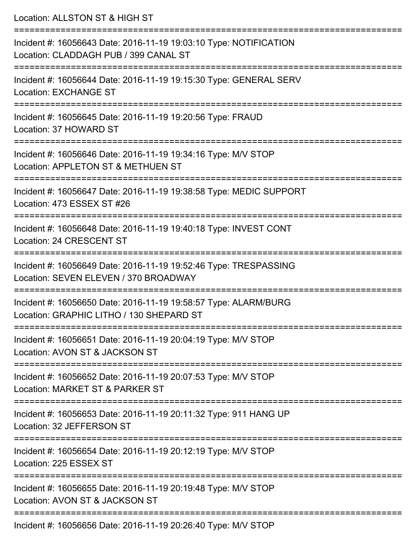| Location: ALLSTON ST & HIGH ST                                                                                                        |
|---------------------------------------------------------------------------------------------------------------------------------------|
| Incident #: 16056643 Date: 2016-11-19 19:03:10 Type: NOTIFICATION<br>Location: CLADDAGH PUB / 399 CANAL ST<br>:====================== |
| Incident #: 16056644 Date: 2016-11-19 19:15:30 Type: GENERAL SERV<br><b>Location: EXCHANGE ST</b>                                     |
| Incident #: 16056645 Date: 2016-11-19 19:20:56 Type: FRAUD<br>Location: 37 HOWARD ST                                                  |
| Incident #: 16056646 Date: 2016-11-19 19:34:16 Type: M/V STOP<br>Location: APPLETON ST & METHUEN ST                                   |
| Incident #: 16056647 Date: 2016-11-19 19:38:58 Type: MEDIC SUPPORT<br>Location: 473 ESSEX ST #26                                      |
| Incident #: 16056648 Date: 2016-11-19 19:40:18 Type: INVEST CONT<br>Location: 24 CRESCENT ST                                          |
| Incident #: 16056649 Date: 2016-11-19 19:52:46 Type: TRESPASSING<br>Location: SEVEN ELEVEN / 370 BROADWAY                             |
| Incident #: 16056650 Date: 2016-11-19 19:58:57 Type: ALARM/BURG<br>Location: GRAPHIC LITHO / 130 SHEPARD ST                           |
| Incident #: 16056651 Date: 2016-11-19 20:04:19 Type: M/V STOP<br>Location: AVON ST & JACKSON ST                                       |
| Incident #: 16056652 Date: 2016-11-19 20:07:53 Type: M/V STOP<br>Location: MARKET ST & PARKER ST                                      |
| Incident #: 16056653 Date: 2016-11-19 20:11:32 Type: 911 HANG UP<br>Location: 32 JEFFERSON ST                                         |
| Incident #: 16056654 Date: 2016-11-19 20:12:19 Type: M/V STOP<br>Location: 225 ESSEX ST                                               |
| Incident #: 16056655 Date: 2016-11-19 20:19:48 Type: M/V STOP<br>Location: AVON ST & JACKSON ST                                       |
| Incident #: 16056656 Date: 2016-11-19 20:26:40 Type: M/V STOP                                                                         |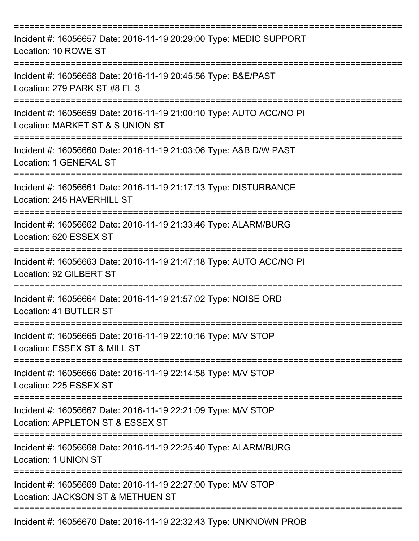| Incident #: 16056657 Date: 2016-11-19 20:29:00 Type: MEDIC SUPPORT<br>Location: 10 ROWE ST                         |
|--------------------------------------------------------------------------------------------------------------------|
| Incident #: 16056658 Date: 2016-11-19 20:45:56 Type: B&E/PAST<br>Location: 279 PARK ST #8 FL 3                     |
| Incident #: 16056659 Date: 2016-11-19 21:00:10 Type: AUTO ACC/NO PI<br>Location: MARKET ST & S UNION ST            |
| Incident #: 16056660 Date: 2016-11-19 21:03:06 Type: A&B D/W PAST<br>Location: 1 GENERAL ST                        |
| Incident #: 16056661 Date: 2016-11-19 21:17:13 Type: DISTURBANCE<br>Location: 245 HAVERHILL ST<br>================ |
| Incident #: 16056662 Date: 2016-11-19 21:33:46 Type: ALARM/BURG<br>Location: 620 ESSEX ST                          |
| Incident #: 16056663 Date: 2016-11-19 21:47:18 Type: AUTO ACC/NO PI<br>Location: 92 GILBERT ST                     |
| Incident #: 16056664 Date: 2016-11-19 21:57:02 Type: NOISE ORD<br>Location: 41 BUTLER ST                           |
| Incident #: 16056665 Date: 2016-11-19 22:10:16 Type: M/V STOP<br>Location: ESSEX ST & MILL ST                      |
| Incident #: 16056666 Date: 2016-11-19 22:14:58 Type: M/V STOP<br>Location: 225 ESSEX ST                            |
| Incident #: 16056667 Date: 2016-11-19 22:21:09 Type: M/V STOP<br>Location: APPLETON ST & ESSEX ST                  |
| Incident #: 16056668 Date: 2016-11-19 22:25:40 Type: ALARM/BURG<br>Location: 1 UNION ST                            |
| Incident #: 16056669 Date: 2016-11-19 22:27:00 Type: M/V STOP<br>Location: JACKSON ST & METHUEN ST                 |
| Incident #: 16056670 Date: 2016-11-19 22:32:43 Type: UNKNOWN PROB                                                  |